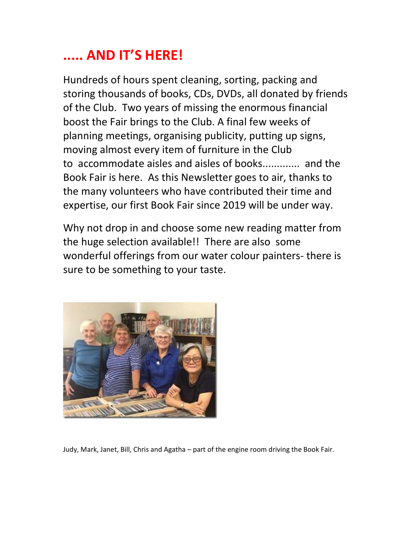# ..... AND IT'S HERE!

Hundreds of hours spent cleaning, sorting, packing and storing thousands of books, CDs, DVDs, all donated by friends of the Club. Two years of missing the enormous financial boost the Fair brings to the Club. A final few weeks of planning meetings, organising publicity, putting up signs, moving almost every item of furniture in the Club to accommodate aisles and aisles of books............. and the Book Fair is here. As this Newsletter goes to air, thanks to the many volunteers who have contributed their time and expertise, our first Book Fair since 2019 will be under way.

Why not drop in and choose some new reading matter from the huge selection available!! There are also some wonderful offerings from our water colour painters- there is sure to be something to your taste.



Judy, Mark, Janet, Bill, Chris and Agatha – part of the engine room driving the Book Fair.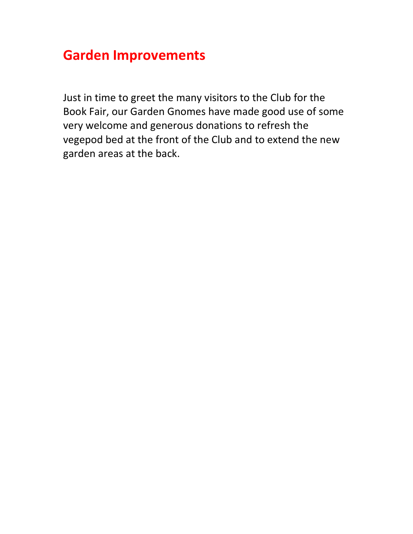## Garden Improvements

Just in time to greet the many visitors to the Club for the Book Fair, our Garden Gnomes have made good use of some very welcome and generous donations to refresh the vegepod bed at the front of the Club and to extend the new garden areas at the back.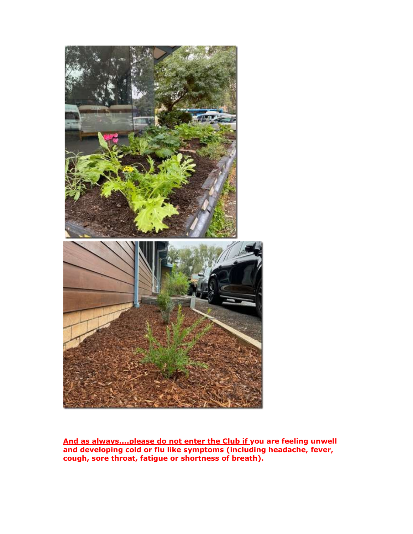

And as always....please do not enter the Club if you are feeling unwell and developing cold or flu like symptoms (including headache, fever, cough, sore throat, fatigue or shortness of breath).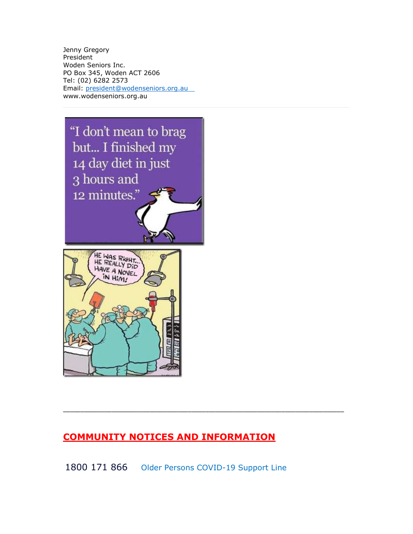Jenny Gregory President Woden Seniors Inc. PO Box 345, Woden ACT 2606 Tel: (02) 6282 2573 Email: president@wodenseniors.org.au www.wodenseniors.org.au



## COMMUNITY NOTICES AND INFORMATION

1800 171 866 Older Persons COVID-19 Support Line

\_\_\_\_\_\_\_\_\_\_\_\_\_\_\_\_\_\_\_\_\_\_\_\_\_\_\_\_\_\_\_\_\_\_\_\_\_\_\_\_\_\_\_\_\_\_\_\_\_\_\_\_\_\_\_\_\_\_\_\_\_\_\_\_\_\_\_\_\_\_\_\_\_\_\_\_\_\_\_\_\_